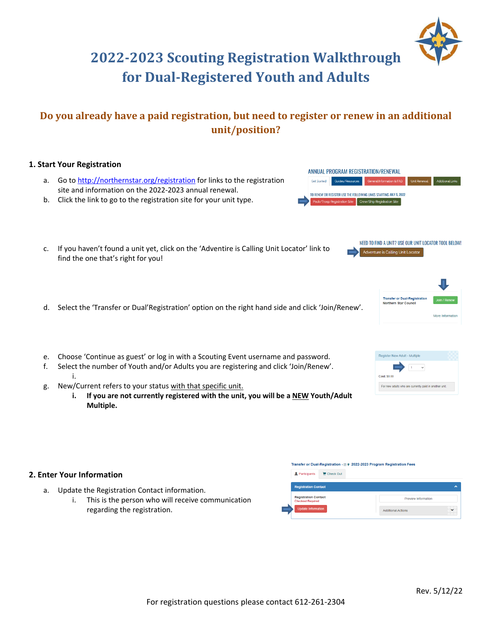# **2022‐2023 Scouting Registration Walkthrough for Dual‐Registered Youth and Adults**

# **Do you already have a paid registration, but need to register or renew in an additional unit/position?**

## **1. Start Your Registration**

- a. Go to http://northernstar.org/registration for links to the registration site and information on the 2022‐2023 annual renewal.
- b. Click the link to go to the registration site for your unit type.
- c. If you haven't found a unit yet, click on the 'Adventire is Calling Unit Locator' link to find the one that's right for you!
- d. Select the 'Transfer or Dual'Registration' option on the right hand side and click 'Join/Renew'.
- e. Choose 'Continue as guest' or log in with a Scouting Event username and password.
- f. Select the number of Youth and/or Adults you are registering and click 'Join/Renew'. i.
- g. New/Current refers to your status with that specific unit.
	- **i. If you are not currently registered with the unit, you will be a NEW Youth/Adult Multiple.**

### **2. Enter Your Information**

- a. Update the Registration Contact information.
	- i. This is the person who will receive communication regarding the registration.